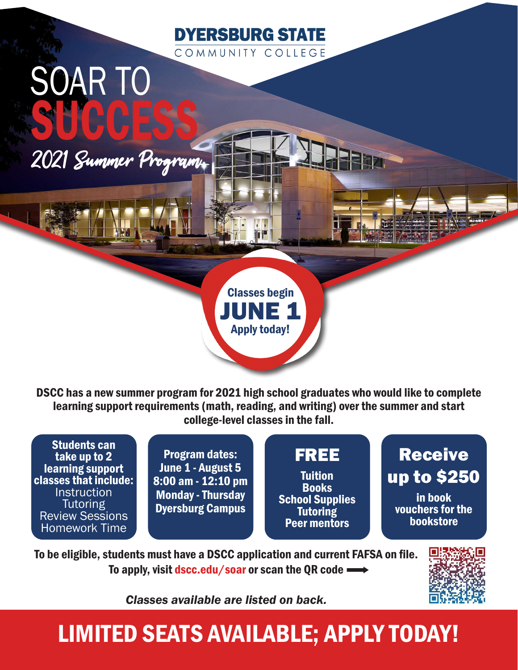

# SUCCESS 2021 Summer Program

SOAR TO

Classes begin JUNE 1 Apply today!

DSCC has a new summer program for 2021 high school graduates who would like to complete learning support requirements (math, reading, and writing) over the summer and start college-level classes in the fall.

Students can take up to 2 learning support classes that include: **Instruction Tutoring** Review Sessions Homework Time

Program dates: June 1 - August 5 8:00 am - 12:10 pm Monday - Thursday Dyersburg Campus

### FREE

**Tuition Books** School Supplies **Tutoring** Peer mentors

Receive up to \$250 in book vouchers for the bookstore

To be eligible, students must have a DSCC application and current FAFSA on file. To apply, visit dscc.edu/soar or scan the QR code



*Classes available are listed on back.* 

## LIMITED SEATS AVAILABLE; APPLY TODAY!